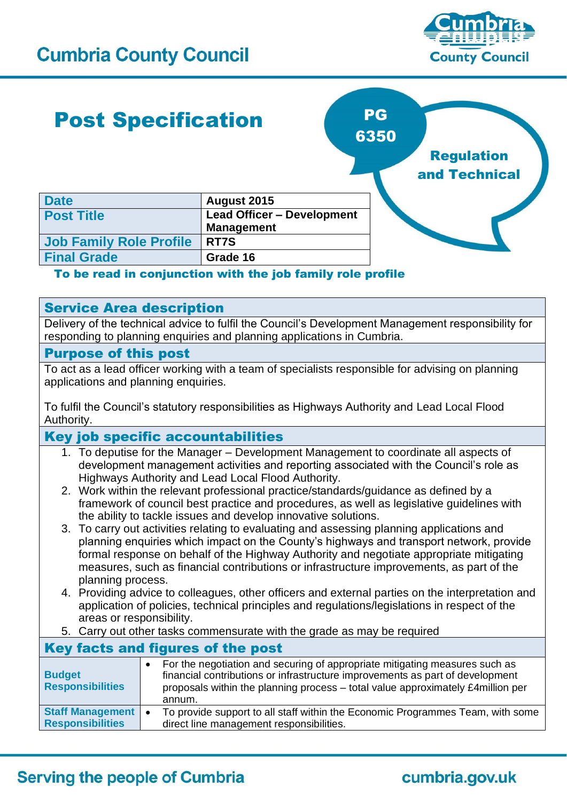

### Post Specification **Date August 2015 Post Title Lead Officer – Development Management Job Family Role Profile RT7S Final Grade Grade 16**  PG 6350 Regulation and Technical

#### To be read in conjunction with the job family role profile

#### Service Area description

Delivery of the technical advice to fulfil the Council's Development Management responsibility for responding to planning enquiries and planning applications in Cumbria.

#### Purpose of this post

To act as a lead officer working with a team of specialists responsible for advising on planning applications and planning enquiries.

To fulfil the Council's statutory responsibilities as Highways Authority and Lead Local Flood Authority.

#### Key job specific accountabilities

- 1. To deputise for the Manager Development Management to coordinate all aspects of development management activities and reporting associated with the Council's role as Highways Authority and Lead Local Flood Authority.
- 2. Work within the relevant professional practice/standards/guidance as defined by a framework of council best practice and procedures, as well as legislative guidelines with the ability to tackle issues and develop innovative solutions.
- 3. To carry out activities relating to evaluating and assessing planning applications and planning enquiries which impact on the County's highways and transport network, provide formal response on behalf of the Highway Authority and negotiate appropriate mitigating measures, such as financial contributions or infrastructure improvements, as part of the planning process.
- 4. Providing advice to colleagues, other officers and external parties on the interpretation and application of policies, technical principles and regulations/legislations in respect of the areas or responsibility.
- 5. Carry out other tasks commensurate with the grade as may be required

| Key facts and figures of the post                  |                                                                                                                                                                                                                                                           |
|----------------------------------------------------|-----------------------------------------------------------------------------------------------------------------------------------------------------------------------------------------------------------------------------------------------------------|
| <b>Budget</b><br><b>Responsibilities</b>           | For the negotiation and securing of appropriate mitigating measures such as<br>financial contributions or infrastructure improvements as part of development<br>proposals within the planning process - total value approximately £4million per<br>annum. |
| <b>Staff Management</b><br><b>Responsibilities</b> | To provide support to all staff within the Economic Programmes Team, with some<br>direct line management responsibilities.                                                                                                                                |

## **Serving the people of Cumbria**

# cumbria.gov.uk